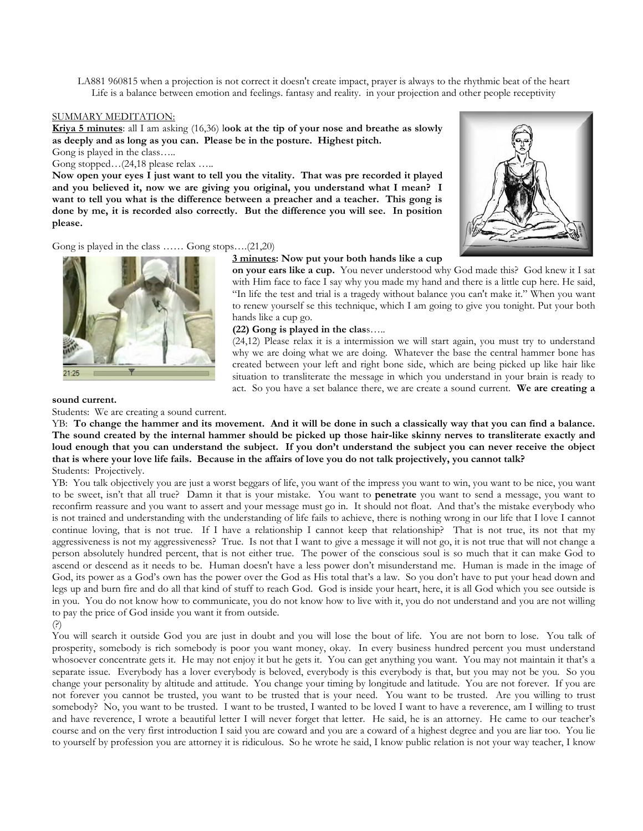LA881 960815 when a projection is not correct it doesn't create impact, prayer is always to the rhythmic beat of the heart Life is a balance between emotion and feelings. fantasy and reality. in your projection and other people receptivity

#### SUMMARY MEDITATION:

**Kriya 5 minutes**: all I am asking (16,36) l**ook at the tip of your nose and breathe as slowly as deeply and as long as you can. Please be in the posture. Highest pitch.**

Gong is played in the class…..

Gong stopped...(24,18 please relax .....

**Now open your eyes I just want to tell you the vitality. That was pre recorded it played and you believed it, now we are giving you original, you understand what I mean? I want to tell you what is the difference between a preacher and a teacher. This gong is done by me, it is recorded also correctly. But the difference you will see. In position please.**



## Gong is played in the class …… Gong stops….(21,20)

### **3 minutes: Now put your both hands like a cup**

**on your ears like a cup.** You never understood why God made this? God knew it I sat with Him face to face I say why you made my hand and there is a little cup here. He said, "In life the test and trial is a tragedy without balance you can't make it." When you want to renew yourself se this technique, which I am going to give you tonight. Put your both hands like a cup go.

**(22) Gong is played in the clas**s…..

(24,12) Please relax it is a intermission we will start again, you must try to understand why we are doing what we are doing. Whatever the base the central hammer bone has created between your left and right bone side, which are being picked up like hair like situation to transliterate the message in which you understand in your brain is ready to act. So you have a set balance there, we are create a sound current. **We are creating a** 

#### **sound current.**

Students: We are creating a sound current.

YB: **To change the hammer and its movement. And it will be done in such a classically way that you can find a balance. The sound created by the internal hammer should be picked up those hair-like skinny nerves to transliterate exactly and**  loud enough that you can understand the subject. If you don't understand the subject you can never receive the object **that is where your love life fails. Because in the affairs of love you do not talk projectively, you cannot talk?** Students: Projectively.

YB: You talk objectively you are just a worst beggars of life, you want of the impress you want to win, you want to be nice, you want to be sweet, isn't that all true? Damn it that is your mistake. You want to **penetrate** you want to send a message, you want to reconfirm reassure and you want to assert and your message must go in. It should not float. And that's the mistake everybody who is not trained and understanding with the understanding of life fails to achieve, there is nothing wrong in our life that I love I cannot continue loving, that is not true. If I have a relationship I cannot keep that relationship? That is not true, its not that my aggressiveness is not my aggressiveness? True. Is not that I want to give a message it will not go, it is not true that will not change a person absolutely hundred percent, that is not either true. The power of the conscious soul is so much that it can make God to ascend or descend as it needs to be. Human doesn't have a less power don't misunderstand me. Human is made in the image of God, its power as a God's own has the power over the God as His total that's a law. So you don't have to put your head down and legs up and burn fire and do all that kind of stuff to reach God. God is inside your heart, here, it is all God which you see outside is in you. You do not know how to communicate, you do not know how to live with it, you do not understand and you are not willing to pay the price of God inside you want it from outside.

## (?)

You will search it outside God you are just in doubt and you will lose the bout of life. You are not born to lose. You talk of prosperity, somebody is rich somebody is poor you want money, okay. In every business hundred percent you must understand whosoever concentrate gets it. He may not enjoy it but he gets it. You can get anything you want. You may not maintain it that's a separate issue. Everybody has a lover everybody is beloved, everybody is this everybody is that, but you may not be you. So you change your personality by altitude and attitude. You change your timing by longitude and latitude. You are not forever. If you are not forever you cannot be trusted, you want to be trusted that is your need. You want to be trusted. Are you willing to trust somebody? No, you want to be trusted. I want to be trusted, I wanted to be loved I want to have a reverence, am I willing to trust and have reverence, I wrote a beautiful letter I will never forget that letter. He said, he is an attorney. He came to our teacher's course and on the very first introduction I said you are coward and you are a coward of a highest degree and you are liar too. You lie to yourself by profession you are attorney it is ridiculous. So he wrote he said, I know public relation is not your way teacher, I know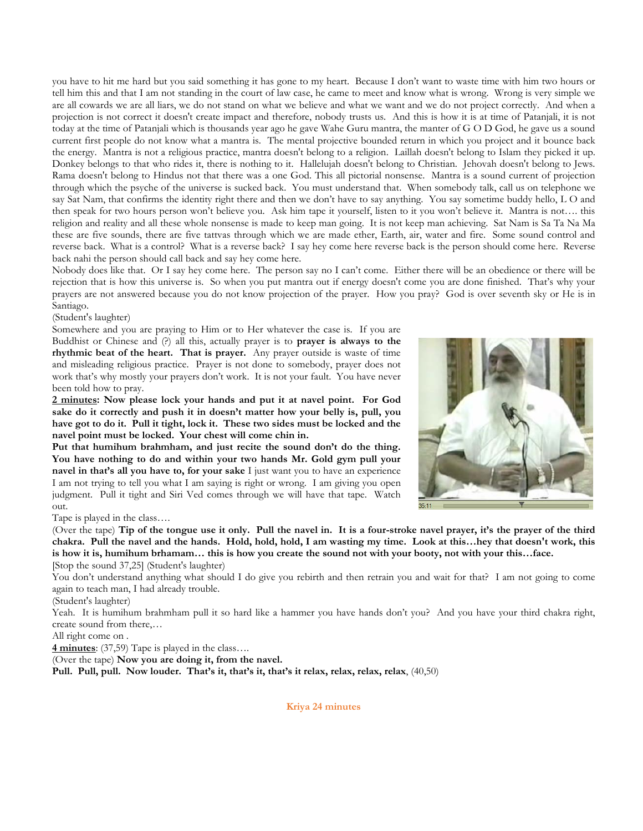you have to hit me hard but you said something it has gone to my heart. Because I don't want to waste time with him two hours or tell him this and that I am not standing in the court of law case, he came to meet and know what is wrong. Wrong is very simple we are all cowards we are all liars, we do not stand on what we believe and what we want and we do not project correctly. And when a projection is not correct it doesn't create impact and therefore, nobody trusts us. And this is how it is at time of Patanjali, it is not today at the time of Patanjali which is thousands year ago he gave Wahe Guru mantra, the manter of G O D God, he gave us a sound current first people do not know what a mantra is. The mental projective bounded return in which you project and it bounce back the energy. Mantra is not a religious practice, mantra doesn't belong to a religion. Laillah doesn't belong to Islam they picked it up. Donkey belongs to that who rides it, there is nothing to it. Hallelujah doesn't belong to Christian. Jehovah doesn't belong to Jews. Rama doesn't belong to Hindus not that there was a one God. This all pictorial nonsense. Mantra is a sound current of projection through which the psyche of the universe is sucked back. You must understand that. When somebody talk, call us on telephone we say Sat Nam, that confirms the identity right there and then we don't have to say anything. You say sometime buddy hello, L O and then speak for two hours person won't believe you. Ask him tape it yourself, listen to it you won't believe it. Mantra is not…. this religion and reality and all these whole nonsense is made to keep man going. It is not keep man achieving. Sat Nam is Sa Ta Na Ma these are five sounds, there are five tattvas through which we are made ether, Earth, air, water and fire. Some sound control and reverse back. What is a control? What is a reverse back? I say hey come here reverse back is the person should come here. Reverse back nahi the person should call back and say hey come here.

Nobody does like that. Or I say hey come here. The person say no I can't come. Either there will be an obedience or there will be rejection that is how this universe is. So when you put mantra out if energy doesn't come you are done finished. That's why your prayers are not answered because you do not know projection of the prayer. How you pray? God is over seventh sky or He is in Santiago.

# (Student's laughter)

Somewhere and you are praying to Him or to Her whatever the case is. If you are Buddhist or Chinese and (?) all this, actually prayer is to **prayer is always to the rhythmic beat of the heart. That is prayer.** Any prayer outside is waste of time and misleading religious practice. Prayer is not done to somebody, prayer does not work that's why mostly your prayers don't work. It is not your fault. You have never been told how to pray.

**2 minutes: Now please lock your hands and put it at navel point. For God sake do it correctly and push it in doesn't matter how your belly is, pull, you have got to do it. Pull it tight, lock it. These two sides must be locked and the navel point must be locked. Your chest will come chin in.**

**Put that humihum brahmham, and just recite the sound don't do the thing. You have nothing to do and within your two hands Mr. Gold gym pull your navel in that's all you have to, for your sake** I just want you to have an experience I am not trying to tell you what I am saying is right or wrong. I am giving you open judgment. Pull it tight and Siri Ved comes through we will have that tape. Watch out.

Tape is played in the class….

(Over the tape) **Tip of the tongue use it only. Pull the navel in. It is a four-stroke navel prayer, it's the prayer of the third chakra. Pull the navel and the hands. Hold, hold, hold, I am wasting my time. Look at this…hey that doesn't work, this is how it is, humihum brhamam… this is how you create the sound not with your booty, not with your this…face.** [Stop the sound 37,25] (Student's laughter)

You don't understand anything what should I do give you rebirth and then retrain you and wait for that? I am not going to come again to teach man, I had already trouble.

(Student's laughter)

Yeah. It is humihum brahmham pull it so hard like a hammer you have hands don't you? And you have your third chakra right, create sound from there,…

All right come on .

**4 minutes**: (37,59) Tape is played in the class….

(Over the tape) **Now you are doing it, from the navel.**

**Pull. Pull, pull. Now louder. That's it, that's it, that's it relax, relax, relax, relax**, (40,50)

**Kriya 24 minutes**

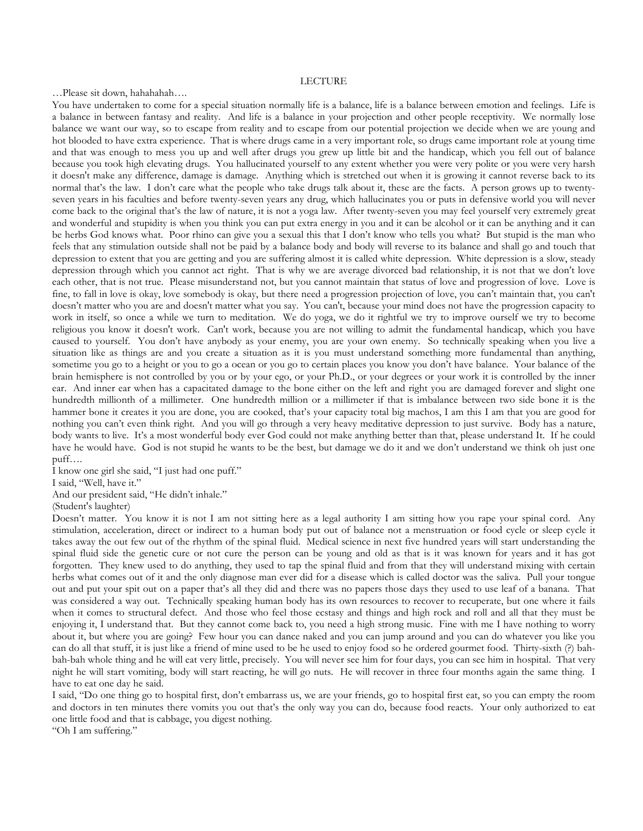## LECTURE

…Please sit down, hahahahah….

You have undertaken to come for a special situation normally life is a balance, life is a balance between emotion and feelings. Life is a balance in between fantasy and reality. And life is a balance in your projection and other people receptivity. We normally lose balance we want our way, so to escape from reality and to escape from our potential projection we decide when we are young and hot blooded to have extra experience. That is where drugs came in a very important role, so drugs came important role at young time and that was enough to mess you up and well after drugs you grew up little bit and the handicap, which you fell out of balance because you took high elevating drugs. You hallucinated yourself to any extent whether you were very polite or you were very harsh it doesn't make any difference, damage is damage. Anything which is stretched out when it is growing it cannot reverse back to its normal that's the law. I don't care what the people who take drugs talk about it, these are the facts. A person grows up to twentyseven years in his faculties and before twenty-seven years any drug, which hallucinates you or puts in defensive world you will never come back to the original that's the law of nature, it is not a yoga law. After twenty-seven you may feel yourself very extremely great and wonderful and stupidity is when you think you can put extra energy in you and it can be alcohol or it can be anything and it can be herbs God knows what. Poor rhino can give you a sexual this that I don't know who tells you what? But stupid is the man who feels that any stimulation outside shall not be paid by a balance body and body will reverse to its balance and shall go and touch that depression to extent that you are getting and you are suffering almost it is called white depression. White depression is a slow, steady depression through which you cannot act right. That is why we are average divorced bad relationship, it is not that we don't love each other, that is not true. Please misunderstand not, but you cannot maintain that status of love and progression of love. Love is fine, to fall in love is okay, love somebody is okay, but there need a progression projection of love, you can't maintain that, you can't doesn't matter who you are and doesn't matter what you say. You can't, because your mind does not have the progression capacity to work in itself, so once a while we turn to meditation. We do yoga, we do it rightful we try to improve ourself we try to become religious you know it doesn't work. Can't work, because you are not willing to admit the fundamental handicap, which you have caused to yourself. You don't have anybody as your enemy, you are your own enemy. So technically speaking when you live a situation like as things are and you create a situation as it is you must understand something more fundamental than anything, sometime you go to a height or you to go a ocean or you go to certain places you know you don't have balance. Your balance of the brain hemisphere is not controlled by you or by your ego, or your Ph.D., or your degrees or your work it is controlled by the inner ear. And inner ear when has a capacitated damage to the bone either on the left and right you are damaged forever and slight one hundredth millionth of a millimeter. One hundredth million or a millimeter if that is imbalance between two side bone it is the hammer bone it creates it you are done, you are cooked, that's your capacity total big machos, I am this I am that you are good for nothing you can't even think right. And you will go through a very heavy meditative depression to just survive. Body has a nature, body wants to live. It's a most wonderful body ever God could not make anything better than that, please understand It. If he could have he would have. God is not stupid he wants to be the best, but damage we do it and we don't understand we think oh just one puff….

I know one girl she said, "I just had one puff."

I said, "Well, have it."

And our president said, "He didn't inhale."

(Student's laughter)

Doesn't matter. You know it is not I am not sitting here as a legal authority I am sitting how you rape your spinal cord. Any stimulation, acceleration, direct or indirect to a human body put out of balance not a menstruation or food cycle or sleep cycle it takes away the out few out of the rhythm of the spinal fluid. Medical science in next five hundred years will start understanding the spinal fluid side the genetic cure or not cure the person can be young and old as that is it was known for years and it has got forgotten. They knew used to do anything, they used to tap the spinal fluid and from that they will understand mixing with certain herbs what comes out of it and the only diagnose man ever did for a disease which is called doctor was the saliva. Pull your tongue out and put your spit out on a paper that's all they did and there was no papers those days they used to use leaf of a banana. That was considered a way out. Technically speaking human body has its own resources to recover to recuperate, but one where it fails when it comes to structural defect. And those who feel those ecstasy and things and high rock and roll and all that they must be enjoying it, I understand that. But they cannot come back to, you need a high strong music. Fine with me I have nothing to worry about it, but where you are going? Few hour you can dance naked and you can jump around and you can do whatever you like you can do all that stuff, it is just like a friend of mine used to be he used to enjoy food so he ordered gourmet food. Thirty-sixth (?) bahbah-bah whole thing and he will eat very little, precisely. You will never see him for four days, you can see him in hospital. That very night he will start vomiting, body will start reacting, he will go nuts. He will recover in three four months again the same thing. I have to eat one day he said.

I said, "Do one thing go to hospital first, don't embarrass us, we are your friends, go to hospital first eat, so you can empty the room and doctors in ten minutes there vomits you out that's the only way you can do, because food reacts. Your only authorized to eat one little food and that is cabbage, you digest nothing.

"Oh I am suffering."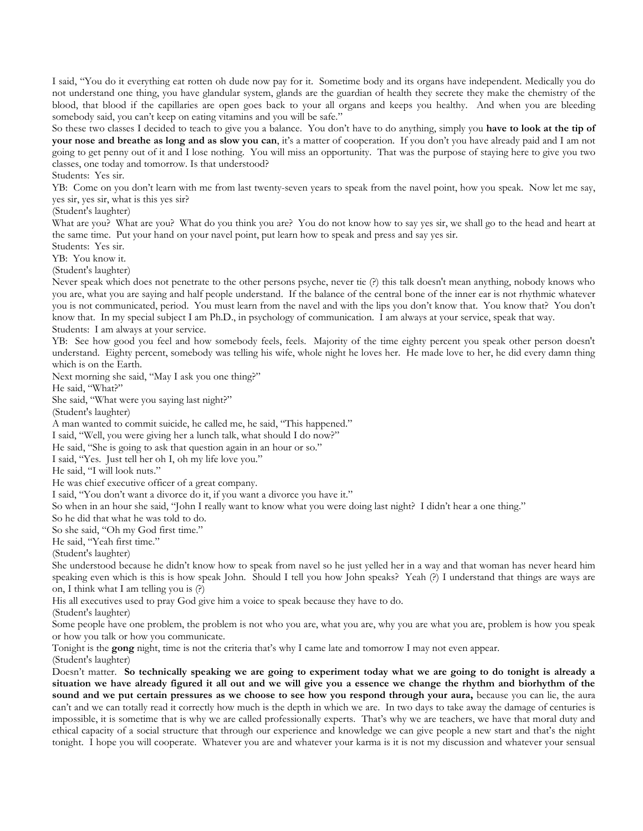I said, "You do it everything eat rotten oh dude now pay for it. Sometime body and its organs have independent. Medically you do not understand one thing, you have glandular system, glands are the guardian of health they secrete they make the chemistry of the blood, that blood if the capillaries are open goes back to your all organs and keeps you healthy. And when you are bleeding somebody said, you can't keep on eating vitamins and you will be safe."

So these two classes I decided to teach to give you a balance. You don't have to do anything, simply you **have to look at the tip of your nose and breathe as long and as slow you can**, it's a matter of cooperation. If you don't you have already paid and I am not going to get penny out of it and I lose nothing. You will miss an opportunity. That was the purpose of staying here to give you two classes, one today and tomorrow. Is that understood?

Students: Yes sir.

YB: Come on you don't learn with me from last twenty-seven years to speak from the navel point, how you speak. Now let me say, yes sir, yes sir, what is this yes sir?

(Student's laughter)

What are you? What are you? What do you think you are? You do not know how to say yes sir, we shall go to the head and heart at the same time. Put your hand on your navel point, put learn how to speak and press and say yes sir.

Students: Yes sir.

YB: You know it.

(Student's laughter)

Never speak which does not penetrate to the other persons psyche, never tie (?) this talk doesn't mean anything, nobody knows who you are, what you are saying and half people understand. If the balance of the central bone of the inner ear is not rhythmic whatever you is not communicated, period. You must learn from the navel and with the lips you don't know that. You know that? You don't know that. In my special subject I am Ph.D., in psychology of communication. I am always at your service, speak that way. Students: I am always at your service.

YB: See how good you feel and how somebody feels, feels. Majority of the time eighty percent you speak other person doesn't understand. Eighty percent, somebody was telling his wife, whole night he loves her. He made love to her, he did every damn thing which is on the Earth.

Next morning she said, "May I ask you one thing?"

He said, "What?"

She said, "What were you saying last night?"

(Student's laughter)

A man wanted to commit suicide, he called me, he said, "This happened."

I said, "Well, you were giving her a lunch talk, what should I do now?"

He said, "She is going to ask that question again in an hour or so."

I said, "Yes. Just tell her oh I, oh my life love you."

He said, "I will look nuts."

He was chief executive officer of a great company.

I said, "You don't want a divorce do it, if you want a divorce you have it."

So when in an hour she said, "John I really want to know what you were doing last night? I didn't hear a one thing."

So he did that what he was told to do.

So she said, "Oh my God first time."

He said, "Yeah first time."

(Student's laughter)

She understood because he didn't know how to speak from navel so he just yelled her in a way and that woman has never heard him speaking even which is this is how speak John. Should I tell you how John speaks? Yeah (?) I understand that things are ways are on, I think what I am telling you is (?)

His all executives used to pray God give him a voice to speak because they have to do.

(Student's laughter)

Some people have one problem, the problem is not who you are, what you are, why you are what you are, problem is how you speak or how you talk or how you communicate.

Tonight is the **gong** night, time is not the criteria that's why I came late and tomorrow I may not even appear.

(Student's laughter)

Doesn't matter. **So technically speaking we are going to experiment today what we are going to do tonight is already a situation we have already figured it all out and we will give you a essence we change the rhythm and biorhythm of the sound and we put certain pressures as we choose to see how you respond through your aura,** because you can lie, the aura can't and we can totally read it correctly how much is the depth in which we are. In two days to take away the damage of centuries is impossible, it is sometime that is why we are called professionally experts. That's why we are teachers, we have that moral duty and ethical capacity of a social structure that through our experience and knowledge we can give people a new start and that's the night tonight. I hope you will cooperate. Whatever you are and whatever your karma is it is not my discussion and whatever your sensual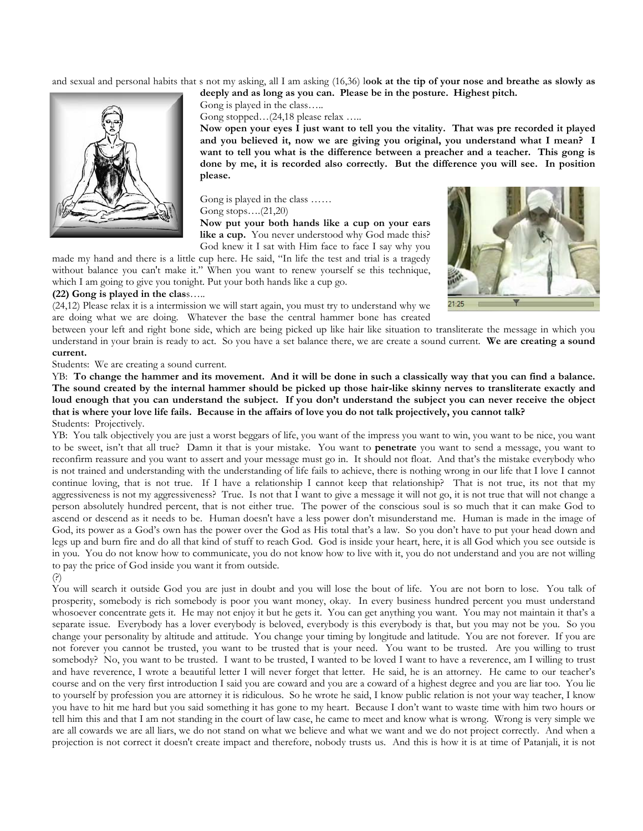and sexual and personal habits that s not my asking, all I am asking (16,36) l**ook at the tip of your nose and breathe as slowly as deeply and as long as you can. Please be in the posture. Highest pitch.**



Gong is played in the class…..

Gong stopped...(24,18 please relax .....

**Now open your eyes I just want to tell you the vitality. That was pre recorded it played and you believed it, now we are giving you original, you understand what I mean? I want to tell you what is the difference between a preacher and a teacher. This gong is done by me, it is recorded also correctly. But the difference you will see. In position please.**

Gong is played in the class …… Gong stops….(21,20) **Now put your both hands like a cup on your ears**  like a cup. You never understood why God made this?

God knew it I sat with Him face to face I say why you made my hand and there is a little cup here. He said, "In life the test and trial is a tragedy without balance you can't make it." When you want to renew yourself se this technique, which I am going to give you tonight. Put your both hands like a cup go.



## **(22) Gong is played in the clas**s…..

(24,12) Please relax it is a intermission we will start again, you must try to understand why we are doing what we are doing. Whatever the base the central hammer bone has created

between your left and right bone side, which are being picked up like hair like situation to transliterate the message in which you understand in your brain is ready to act. So you have a set balance there, we are create a sound current. **We are creating a sound current.**

Students: We are creating a sound current.

YB: **To change the hammer and its movement. And it will be done in such a classically way that you can find a balance. The sound created by the internal hammer should be picked up those hair-like skinny nerves to transliterate exactly and**  loud enough that you can understand the subject. If you don't understand the subject you can never receive the object **that is where your love life fails. Because in the affairs of love you do not talk projectively, you cannot talk?** Students: Projectively.

YB: You talk objectively you are just a worst beggars of life, you want of the impress you want to win, you want to be nice, you want to be sweet, isn't that all true? Damn it that is your mistake. You want to **penetrate** you want to send a message, you want to reconfirm reassure and you want to assert and your message must go in. It should not float. And that's the mistake everybody who is not trained and understanding with the understanding of life fails to achieve, there is nothing wrong in our life that I love I cannot continue loving, that is not true. If I have a relationship I cannot keep that relationship? That is not true, its not that my aggressiveness is not my aggressiveness? True. Is not that I want to give a message it will not go, it is not true that will not change a person absolutely hundred percent, that is not either true. The power of the conscious soul is so much that it can make God to ascend or descend as it needs to be. Human doesn't have a less power don't misunderstand me. Human is made in the image of God, its power as a God's own has the power over the God as His total that's a law. So you don't have to put your head down and legs up and burn fire and do all that kind of stuff to reach God. God is inside your heart, here, it is all God which you see outside is in you. You do not know how to communicate, you do not know how to live with it, you do not understand and you are not willing to pay the price of God inside you want it from outside.

(?)

You will search it outside God you are just in doubt and you will lose the bout of life. You are not born to lose. You talk of prosperity, somebody is rich somebody is poor you want money, okay. In every business hundred percent you must understand whosoever concentrate gets it. He may not enjoy it but he gets it. You can get anything you want. You may not maintain it that's a separate issue. Everybody has a lover everybody is beloved, everybody is this everybody is that, but you may not be you. So you change your personality by altitude and attitude. You change your timing by longitude and latitude. You are not forever. If you are not forever you cannot be trusted, you want to be trusted that is your need. You want to be trusted. Are you willing to trust somebody? No, you want to be trusted. I want to be trusted, I wanted to be loved I want to have a reverence, am I willing to trust and have reverence, I wrote a beautiful letter I will never forget that letter. He said, he is an attorney. He came to our teacher's course and on the very first introduction I said you are coward and you are a coward of a highest degree and you are liar too. You lie to yourself by profession you are attorney it is ridiculous. So he wrote he said, I know public relation is not your way teacher, I know you have to hit me hard but you said something it has gone to my heart. Because I don't want to waste time with him two hours or tell him this and that I am not standing in the court of law case, he came to meet and know what is wrong. Wrong is very simple we are all cowards we are all liars, we do not stand on what we believe and what we want and we do not project correctly. And when a projection is not correct it doesn't create impact and therefore, nobody trusts us. And this is how it is at time of Patanjali, it is not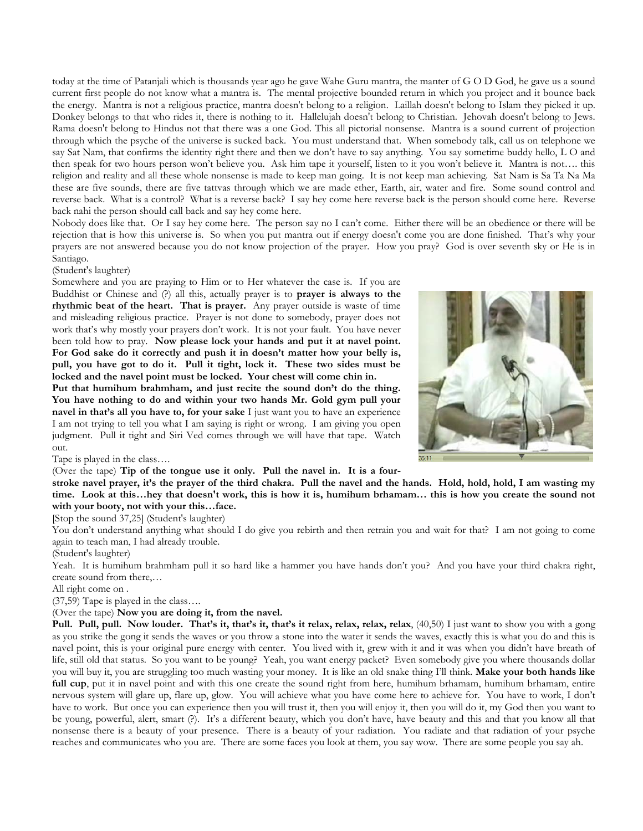today at the time of Patanjali which is thousands year ago he gave Wahe Guru mantra, the manter of G O D God, he gave us a sound current first people do not know what a mantra is. The mental projective bounded return in which you project and it bounce back the energy. Mantra is not a religious practice, mantra doesn't belong to a religion. Laillah doesn't belong to Islam they picked it up. Donkey belongs to that who rides it, there is nothing to it. Hallelujah doesn't belong to Christian. Jehovah doesn't belong to Jews. Rama doesn't belong to Hindus not that there was a one God. This all pictorial nonsense. Mantra is a sound current of projection through which the psyche of the universe is sucked back. You must understand that. When somebody talk, call us on telephone we say Sat Nam, that confirms the identity right there and then we don't have to say anything. You say sometime buddy hello, L O and then speak for two hours person won't believe you. Ask him tape it yourself, listen to it you won't believe it. Mantra is not…. this religion and reality and all these whole nonsense is made to keep man going. It is not keep man achieving. Sat Nam is Sa Ta Na Ma these are five sounds, there are five tattvas through which we are made ether, Earth, air, water and fire. Some sound control and reverse back. What is a control? What is a reverse back? I say hey come here reverse back is the person should come here. Reverse back nahi the person should call back and say hey come here.

Nobody does like that. Or I say hey come here. The person say no I can't come. Either there will be an obedience or there will be rejection that is how this universe is. So when you put mantra out if energy doesn't come you are done finished. That's why your prayers are not answered because you do not know projection of the prayer. How you pray? God is over seventh sky or He is in Santiago.

(Student's laughter)

Somewhere and you are praying to Him or to Her whatever the case is. If you are Buddhist or Chinese and (?) all this, actually prayer is to **prayer is always to the rhythmic beat of the heart. That is prayer.** Any prayer outside is waste of time and misleading religious practice. Prayer is not done to somebody, prayer does not work that's why mostly your prayers don't work. It is not your fault. You have never been told how to pray. **Now please lock your hands and put it at navel point. For God sake do it correctly and push it in doesn't matter how your belly is, pull, you have got to do it. Pull it tight, lock it. These two sides must be locked and the navel point must be locked. Your chest will come chin in.**

**Put that humihum brahmham, and just recite the sound don't do the thing. You have nothing to do and within your two hands Mr. Gold gym pull your navel in that's all you have to, for your sake** I just want you to have an experience I am not trying to tell you what I am saying is right or wrong. I am giving you open judgment. Pull it tight and Siri Ved comes through we will have that tape. Watch out.



Tape is played in the class….

(Over the tape) **Tip of the tongue use it only. Pull the navel in. It is a four-**

**stroke navel prayer, it's the prayer of the third chakra. Pull the navel and the hands. Hold, hold, hold, I am wasting my time. Look at this…hey that doesn't work, this is how it is, humihum brhamam… this is how you create the sound not with your booty, not with your this…face.**

[Stop the sound 37,25] (Student's laughter)

You don't understand anything what should I do give you rebirth and then retrain you and wait for that? I am not going to come again to teach man, I had already trouble.

(Student's laughter)

Yeah. It is humihum brahmham pull it so hard like a hammer you have hands don't you? And you have your third chakra right, create sound from there,…

All right come on .

(37,59) Tape is played in the class….

(Over the tape) **Now you are doing it, from the navel.**

**Pull. Pull, pull. Now louder. That's it, that's it, that's it relax, relax, relax, relax**, (40,50) I just want to show you with a gong as you strike the gong it sends the waves or you throw a stone into the water it sends the waves, exactly this is what you do and this is navel point, this is your original pure energy with center. You lived with it, grew with it and it was when you didn't have breath of life, still old that status. So you want to be young? Yeah, you want energy packet? Even somebody give you where thousands dollar you will buy it, you are struggling too much wasting your money. It is like an old snake thing I'll think. **Make your both hands like full cup**, put it in navel point and with this one create the sound right from here, humihum brhamam, humihum brhamam, entire nervous system will glare up, flare up, glow. You will achieve what you have come here to achieve for. You have to work, I don't have to work. But once you can experience then you will trust it, then you will enjoy it, then you will do it, my God then you want to be young, powerful, alert, smart (?). It's a different beauty, which you don't have, have beauty and this and that you know all that nonsense there is a beauty of your presence. There is a beauty of your radiation. You radiate and that radiation of your psyche reaches and communicates who you are. There are some faces you look at them, you say wow. There are some people you say ah.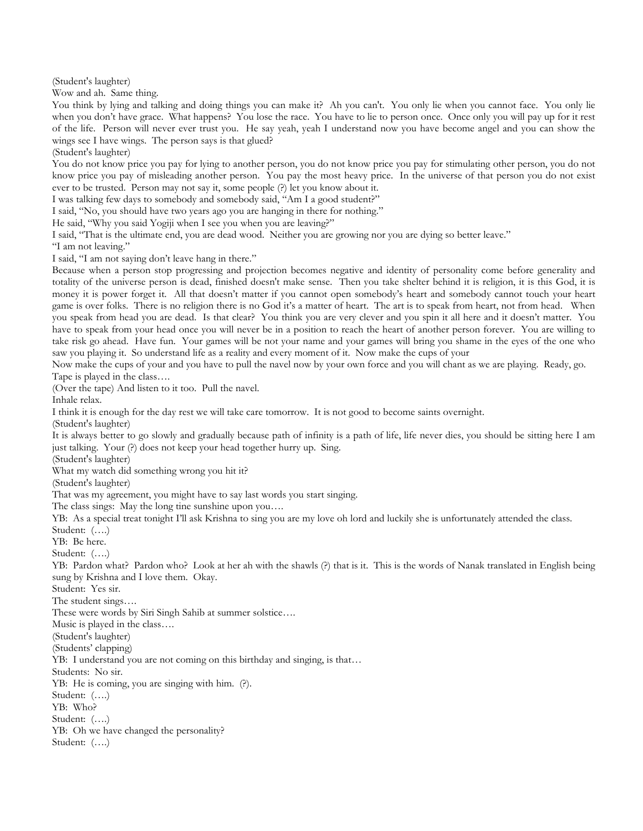(Student's laughter)

Wow and ah. Same thing.

You think by lying and talking and doing things you can make it? Ah you can't. You only lie when you cannot face. You only lie when you don't have grace. What happens? You lose the race. You have to lie to person once. Once only you will pay up for it rest of the life. Person will never ever trust you. He say yeah, yeah I understand now you have become angel and you can show the wings see I have wings. The person says is that glued?

(Student's laughter)

You do not know price you pay for lying to another person, you do not know price you pay for stimulating other person, you do not know price you pay of misleading another person. You pay the most heavy price. In the universe of that person you do not exist ever to be trusted. Person may not say it, some people (?) let you know about it.

I was talking few days to somebody and somebody said, "Am I a good student?"

I said, "No, you should have two years ago you are hanging in there for nothing."

He said, "Why you said Yogiji when I see you when you are leaving?"

I said, "That is the ultimate end, you are dead wood. Neither you are growing nor you are dying so better leave."

"I am not leaving."

I said, "I am not saying don't leave hang in there."

Because when a person stop progressing and projection becomes negative and identity of personality come before generality and totality of the universe person is dead, finished doesn't make sense. Then you take shelter behind it is religion, it is this God, it is money it is power forget it. All that doesn't matter if you cannot open somebody's heart and somebody cannot touch your heart game is over folks. There is no religion there is no God it's a matter of heart. The art is to speak from heart, not from head. When you speak from head you are dead. Is that clear? You think you are very clever and you spin it all here and it doesn't matter. You have to speak from your head once you will never be in a position to reach the heart of another person forever. You are willing to take risk go ahead. Have fun. Your games will be not your name and your games will bring you shame in the eyes of the one who saw you playing it. So understand life as a reality and every moment of it. Now make the cups of your

Now make the cups of your and you have to pull the navel now by your own force and you will chant as we are playing. Ready, go. Tape is played in the class….

(Over the tape) And listen to it too. Pull the navel.

Inhale relax.

I think it is enough for the day rest we will take care tomorrow. It is not good to become saints overnight.

(Student's laughter)

It is always better to go slowly and gradually because path of infinity is a path of life, life never dies, you should be sitting here I am just talking. Your (?) does not keep your head together hurry up. Sing.

(Student's laughter)

What my watch did something wrong you hit it?

(Student's laughter)

That was my agreement, you might have to say last words you start singing.

The class sings: May the long tine sunshine upon you....

YB: As a special treat tonight I'll ask Krishna to sing you are my love oh lord and luckily she is unfortunately attended the class.

Student: (….)

YB: Be here. Student: (….)

YB: Pardon what? Pardon who? Look at her ah with the shawls (?) that is it. This is the words of Nanak translated in English being sung by Krishna and I love them. Okay.

Student: Yes sir.

The student sings….

These were words by Siri Singh Sahib at summer solstice….

Music is played in the class….

(Student's laughter)

(Students' clapping)

YB: I understand you are not coming on this birthday and singing, is that…

Students: No sir.

YB: He is coming, you are singing with him. (?).

Student: (….)

YB: Who?

Student: (….)

YB: Oh we have changed the personality?

Student: (….)